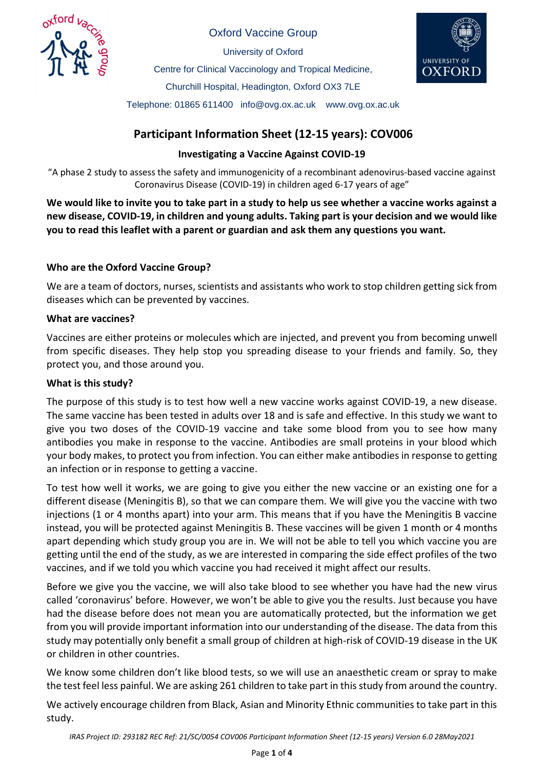

Oxford Vaccine Group

University of Oxford Centre for Clinical Vaccinology and Tropical Medicine, Churchill Hospital, Headington, Oxford OX3 7LE Telephone: 01865 611400 info@ovg.ox.ac.uk www.ovg.ox.ac.uk



# **Participant Information Sheet (12-15 years): COV006**

# **Investigating a Vaccine Against COVID-19**

"A phase 2 study to assess the safety and immunogenicity of a recombinant adenovirus-based vaccine against Coronavirus Disease (COVID-19) in children aged 6-17 years of age"

**We would like to invite you to take part in a study to help us see whether a vaccine works against a new disease, COVID-19, in children and young adults. Taking part is your decision and we would like you to read this leaflet with a parent or guardian and ask them any questions you want.** 

# **Who are the Oxford Vaccine Group?**

We are a team of doctors, nurses, scientists and assistants who work to stop children getting sick from diseases which can be prevented by vaccines.

# **What are vaccines?**

Vaccines are either proteins or molecules which are injected, and prevent you from becoming unwell from specific diseases. They help stop you spreading disease to your friends and family. So, they protect you, and those around you.

# **What is this study?**

The purpose of this study is to test how well a new vaccine works against COVID-19, a new disease. The same vaccine has been tested in adults over 18 and is safe and effective. In this study we want to give you two doses of the COVID-19 vaccine and take some blood from you to see how many antibodies you make in response to the vaccine. Antibodies are small proteins in your blood which your body makes, to protect you from infection. You can either make antibodies in response to getting an infection or in response to getting a vaccine.

To test how well it works, we are going to give you either the new vaccine or an existing one for a different disease (Meningitis B), so that we can compare them. We will give you the vaccine with two injections (1 or 4 months apart) into your arm. This means that if you have the Meningitis B vaccine instead, you will be protected against Meningitis B. These vaccines will be given 1 month or 4 months apart depending which study group you are in. We will not be able to tell you which vaccine you are getting until the end of the study, as we are interested in comparing the side effect profiles of the two vaccines, and if we told you which vaccine you had received it might affect our results.

Before we give you the vaccine, we will also take blood to see whether you have had the new virus called 'coronavirus' before. However, we won't be able to give you the results. Just because you have had the disease before does not mean you are automatically protected, but the information we get from you will provide important information into our understanding of the disease. The data from this study may potentially only benefit a small group of children at high-risk of COVID-19 disease in the UK or children in other countries.

We know some children don't like blood tests, so we will use an anaesthetic cream or spray to make the test feel less painful. We are asking 261 children to take part in this study from around the country.

We actively encourage children from Black, Asian and Minority Ethnic communities to take part in this study.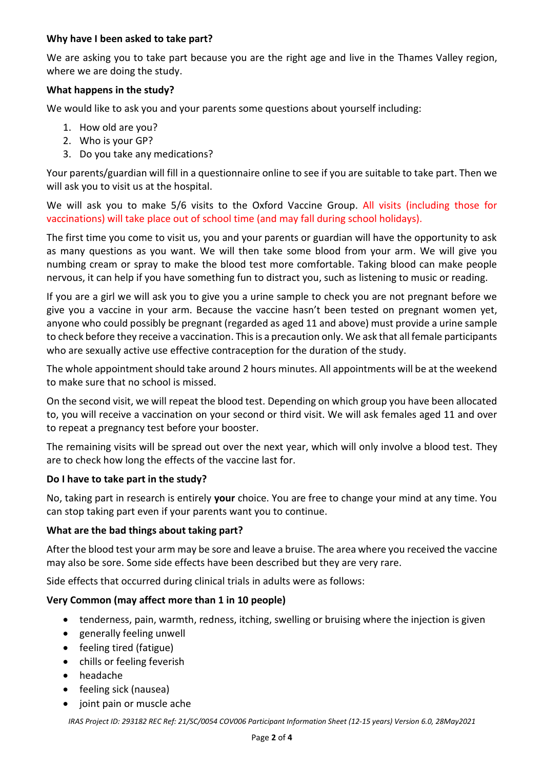### **Why have I been asked to take part?**

We are asking you to take part because you are the right age and live in the Thames Valley region, where we are doing the study.

### **What happens in the study?**

We would like to ask you and your parents some questions about yourself including:

- 1. How old are you?
- 2. Who is your GP?
- 3. Do you take any medications?

Your parents/guardian will fill in a questionnaire online to see if you are suitable to take part. Then we will ask you to visit us at the hospital.

We will ask you to make 5/6 visits to the Oxford Vaccine Group. All visits (including those for vaccinations) will take place out of school time (and may fall during school holidays).

The first time you come to visit us, you and your parents or guardian will have the opportunity to ask as many questions as you want. We will then take some blood from your arm. We will give you numbing cream or spray to make the blood test more comfortable. Taking blood can make people nervous, it can help if you have something fun to distract you, such as listening to music or reading.

If you are a girl we will ask you to give you a urine sample to check you are not pregnant before we give you a vaccine in your arm. Because the vaccine hasn't been tested on pregnant women yet, anyone who could possibly be pregnant (regarded as aged 11 and above) must provide a urine sample to check before they receive a vaccination. This is a precaution only. We ask that all female participants who are sexually active use effective contraception for the duration of the study.

The whole appointment should take around 2 hours minutes. All appointments will be at the weekend to make sure that no school is missed.

On the second visit, we will repeat the blood test. Depending on which group you have been allocated to, you will receive a vaccination on your second or third visit. We will ask females aged 11 and over to repeat a pregnancy test before your booster.

The remaining visits will be spread out over the next year, which will only involve a blood test. They are to check how long the effects of the vaccine last for.

# **Do I have to take part in the study?**

No, taking part in research is entirely **your** choice. You are free to change your mind at any time. You can stop taking part even if your parents want you to continue.

#### **What are the bad things about taking part?**

After the blood test your arm may be sore and leave a bruise. The area where you received the vaccine may also be sore. Some side effects have been described but they are very rare.

Side effects that occurred during clinical trials in adults were as follows:

#### **Very Common (may affect more than 1 in 10 people)**

- tenderness, pain, warmth, redness, itching, swelling or bruising where the injection is given
- generally feeling unwell
- feeling tired (fatigue)
- chills or feeling feverish
- headache
- feeling sick (nausea)
- joint pain or muscle ache

*IRAS Project ID: 293182 REC Ref: 21/SC/0054 COV006 Participant Information Sheet (12-15 years) Version 6.0, 28May2021*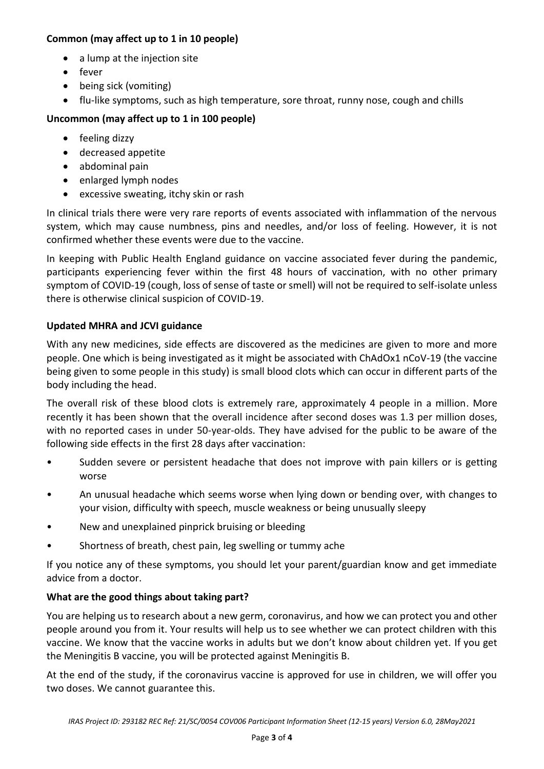# **Common (may affect up to 1 in 10 people)**

- a lump at the injection site
- fever
- being sick (vomiting)
- flu-like symptoms, such as high temperature, sore throat, runny nose, cough and chills

# **Uncommon (may affect up to 1 in 100 people)**

- feeling dizzy
- decreased appetite
- abdominal pain
- enlarged lymph nodes
- excessive sweating, itchy skin or rash

In clinical trials there were very rare reports of events associated with inflammation of the nervous system, which may cause numbness, pins and needles, and/or loss of feeling. However, it is not confirmed whether these events were due to the vaccine.

In keeping with Public Health England guidance on vaccine associated fever during the pandemic, participants experiencing fever within the first 48 hours of vaccination, with no other primary symptom of COVID-19 (cough, loss of sense of taste or smell) will not be required to self-isolate unless there is otherwise clinical suspicion of COVID-19.

# **Updated MHRA and JCVI guidance**

With any new medicines, side effects are discovered as the medicines are given to more and more people. One which is being investigated as it might be associated with ChAdOx1 nCoV-19 (the vaccine being given to some people in this study) is small blood clots which can occur in different parts of the body including the head.

The overall risk of these blood clots is extremely rare, approximately 4 people in a million. More recently it has been shown that the overall incidence after second doses was 1.3 per million doses, with no reported cases in under 50-year-olds. They have advised for the public to be aware of the following side effects in the first 28 days after vaccination:

- Sudden severe or persistent headache that does not improve with pain killers or is getting worse
- An unusual headache which seems worse when lying down or bending over, with changes to your vision, difficulty with speech, muscle weakness or being unusually sleepy
- New and unexplained pinprick bruising or bleeding
- Shortness of breath, chest pain, leg swelling or tummy ache

If you notice any of these symptoms, you should let your parent/guardian know and get immediate advice from a doctor.

# **What are the good things about taking part?**

You are helping us to research about a new germ, coronavirus, and how we can protect you and other people around you from it. Your results will help us to see whether we can protect children with this vaccine. We know that the vaccine works in adults but we don't know about children yet. If you get the Meningitis B vaccine, you will be protected against Meningitis B.

At the end of the study, if the coronavirus vaccine is approved for use in children, we will offer you two doses. We cannot guarantee this.